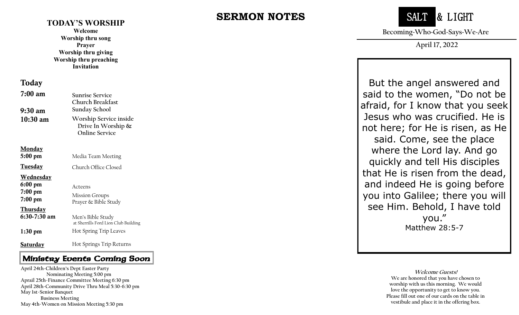#### **TODAY'S WORSHIP**

**Welcome Worship thru song Prayer Worship thru giving Worship thru preaching Invitation**

#### Today

| $7:00 \text{ am}$<br>9:30 am          | Sunrise Service<br>Church Breakfast<br>Sunday School                     |
|---------------------------------------|--------------------------------------------------------------------------|
| $10:30 \text{ am}$                    | Worship Service inside<br>Drive In Worship $\&$<br><b>Online Service</b> |
| <u>Monday</u><br>$5:00 \text{ pm}$    |                                                                          |
| <b>Tuesday</b>                        | Media Team Meeting<br>Church Office Closed                               |
| Wednesday<br>$6:00 \text{ pm}$        | Acteens                                                                  |
| $7:00 \text{ pm}$<br>$7:00~\text{pm}$ | <b>Mission Groups</b><br>Prayer & Bible Study                            |
| <b>Thursday</b><br>$6:30-7:30$ am     | Men's Bible Study<br>at Sherrills Ford Lion Club Building                |
| $1:30 \text{ pm}$                     | Hot Spring Trip Leaves                                                   |
| Saturday                              | Hot Springs Trip Returns                                                 |

#### Ministry Events Coming Soon

 **April 28th -Community Drive Thru Meal 5:30 -6:30 pm April 24th -Children's Dept Easter Party Nominating Meeting 5:00 pm Aprail 25th -Finance Committee Meeting 6:30 pm May 1st -Senior Banquet Business Meeting May 4th -Women on Mission Meeting 5:30 pm**

# **SERMON NOTES**



**Becoming~Who~God~Says~We~Are**

**April 17, 2022**

But the angel answered and said to the women, "Do not be afraid, for I know that you seek Jesus who was crucified. He is not here; for He is risen, as He said. Come, see the place where the Lord lay. And go quickly and tell His disciples that He is risen from the dead, and indeed He is going before you into Galilee; there you will see Him. Behold, I have told you." Matthew 28:5 - 7

> **Welcome Guests! We are honored that you have chosen to worship with us this morning. We would love the opportunity to get to know you. Please fill out one of our cards on the table in vestibule and place it in the offering box.**